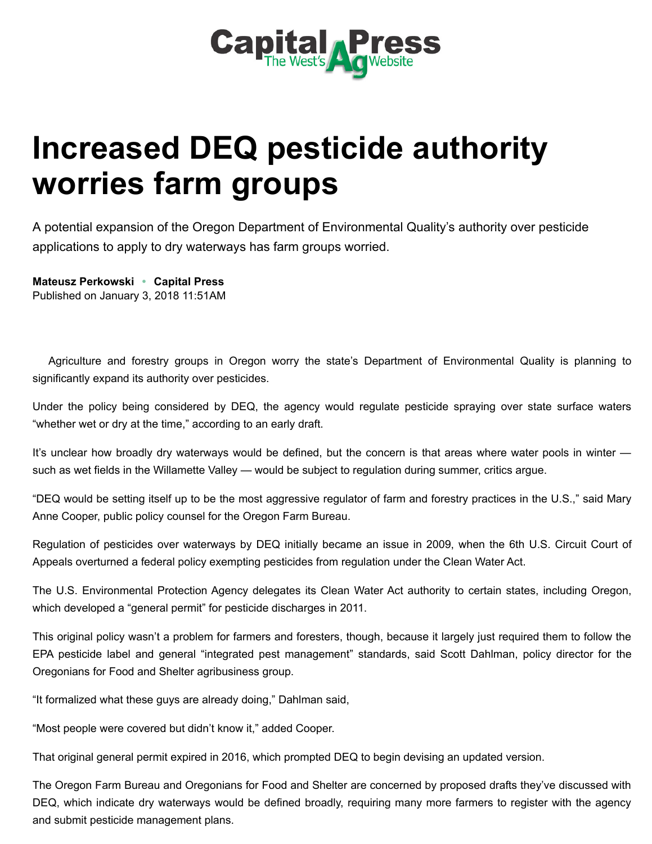

## Increased DEQ pesticide authority worries farm groups

A potential expansion of the Oregon Department of Environmental Quality's authority over pesticide applications to apply to dry waterways has farm groups worried.

[Mateusz Perkowski](http://www.capitalpress.com/apps/pbcs.dll/section?category=staff&template=staffProfilePages&staffID=mperkowski) • Capital Press Published on January 3, 2018 11:51AM

Agriculture and forestry groups in Oregon worry the state's Department of Environmental Quality is planning to significantly expand its authority over pesticides.

Under the policy being considered by DEQ, the agency would regulate pesticide spraying over state surface waters "whether wet or dry at the time," according to an early draft.

It's unclear how broadly dry waterways would be defined, but the concern is that areas where water pools in winter such as wet fields in the Willamette Valley — would be subject to regulation during summer, critics argue.

"DEQ would be setting itself up to be the most aggressive regulator of farm and forestry practices in the U.S.," said Mary Anne Cooper, public policy counsel for the Oregon Farm Bureau.

Regulation of pesticides over waterways by DEQ initially became an issue in 2009, when the 6th U.S. Circuit Court of Appeals overturned a federal policy exempting pesticides from regulation under the Clean Water Act.

The U.S. Environmental Protection Agency delegates its Clean Water Act authority to certain states, including Oregon, which developed a "general permit" for pesticide discharges in 2011.

This original policy wasn't a problem for farmers and foresters, though, because it largely just required them to follow the EPA pesticide label and general "integrated pest management" standards, said Scott Dahlman, policy director for the Oregonians for Food and Shelter agribusiness group.

"It formalized what these guys are already doing," Dahlman said,

"Most people were covered but didn't know it," added Cooper.

That original general permit expired in 2016, which prompted DEQ to begin devising an updated version.

The Oregon Farm Bureau and Oregonians for Food and Shelter are concerned by proposed drafts they've discussed with DEQ, which indicate dry waterways would be defined broadly, requiring many more farmers to register with the agency and submit pesticide management plans.